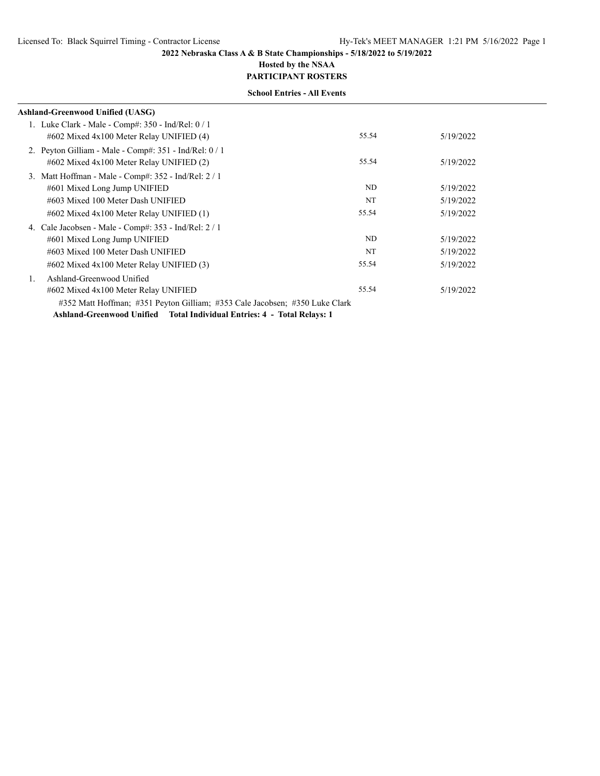## **Hosted by the NSAA PARTICIPANT ROSTERS**

|    | Ashland-Greenwood Unified (UASG)                                            |       |           |
|----|-----------------------------------------------------------------------------|-------|-----------|
|    | 1. Luke Clark - Male - Comp#: $350$ - Ind/Rel: $0/1$                        |       |           |
|    | $\#602$ Mixed $4x100$ Meter Relay UNIFIED (4)                               | 55.54 | 5/19/2022 |
|    | 2. Peyton Gilliam - Male - Comp#: $351$ - Ind/Rel: $0/1$                    |       |           |
|    | $\#602$ Mixed $4x100$ Meter Relay UNIFIED (2)                               | 55.54 | 5/19/2022 |
|    | 3. Matt Hoffman - Male - Comp#: 352 - Ind/Rel: 2 / 1                        |       |           |
|    | #601 Mixed Long Jump UNIFIED                                                | ND    | 5/19/2022 |
|    | #603 Mixed 100 Meter Dash UNIFIED                                           | NT    | 5/19/2022 |
|    | $\#602$ Mixed $4x100$ Meter Relay UNIFIED (1)                               | 55.54 | 5/19/2022 |
|    | 4. Cale Jacobsen - Male - Comp#: 353 - Ind/Rel: 2 / 1                       |       |           |
|    | #601 Mixed Long Jump UNIFIED                                                | ND    | 5/19/2022 |
|    | #603 Mixed 100 Meter Dash UNIFIED                                           | NT    | 5/19/2022 |
|    | $\#602$ Mixed $4x100$ Meter Relay UNIFIED (3)                               | 55.54 | 5/19/2022 |
| 1. | Ashland-Greenwood Unified                                                   |       |           |
|    | #602 Mixed 4x100 Meter Relay UNIFIED                                        | 55.54 | 5/19/2022 |
|    | #352 Matt Hoffman; #351 Peyton Gilliam; #353 Cale Jacobsen; #350 Luke Clark |       |           |
|    | Ashland-Greenwood Unified Total Individual Entries: 4 - Total Relays: 1     |       |           |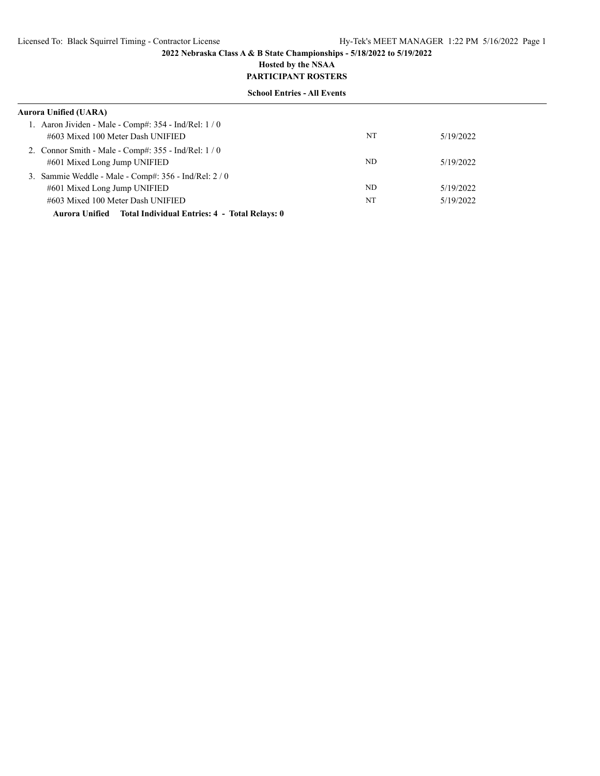# **Hosted by the NSAA**

# **PARTICIPANT ROSTERS**

| <b>School Entries - All Events</b>                           |    |           |  |
|--------------------------------------------------------------|----|-----------|--|
| Aurora Unified (UARA)                                        |    |           |  |
| 1. Aaron Jividen - Male - Comp#: $354$ - Ind/Rel: $1/0$      |    |           |  |
| #603 Mixed 100 Meter Dash UNIFIED                            | NT | 5/19/2022 |  |
| 2. Connor Smith - Male - Comp#: $355$ - Ind/Rel: $1/0$       |    |           |  |
| #601 Mixed Long Jump UNIFIED                                 | ND | 5/19/2022 |  |
| 3. Sammie Weddle - Male - Comp#: 356 - Ind/Rel: 2 / 0        |    |           |  |
| #601 Mixed Long Jump UNIFIED                                 | ND | 5/19/2022 |  |
| #603 Mixed 100 Meter Dash UNIFIED                            | NT | 5/19/2022 |  |
| Aurora Unified Total Individual Entries: 4 - Total Relays: 0 |    |           |  |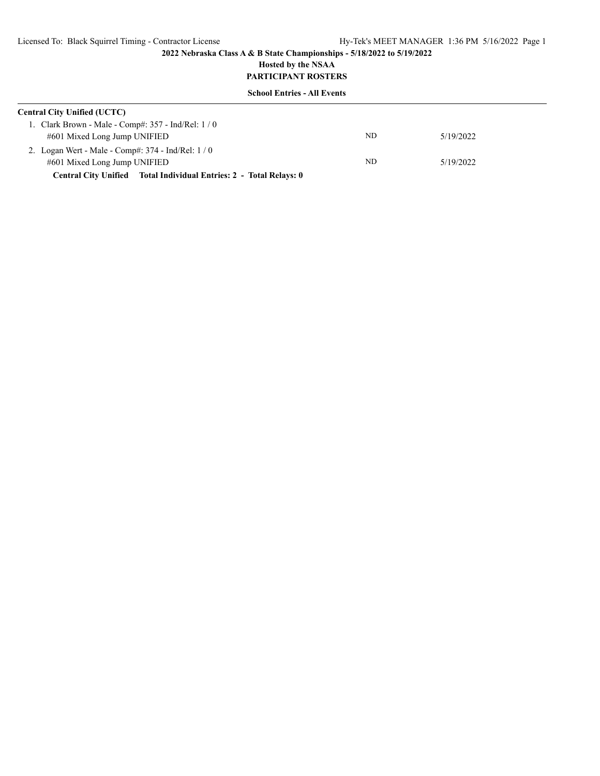# **Hosted by the NSAA PARTICIPANT ROSTERS**

| <b>Central City Unified (UCTC)</b>                                 |     |           |  |  |
|--------------------------------------------------------------------|-----|-----------|--|--|
| 1. Clark Brown - Male - Comp#: $357$ - Ind/Rel: $1/0$              |     |           |  |  |
| #601 Mixed Long Jump UNIFIED                                       | ND. | 5/19/2022 |  |  |
| 2. Logan Wert - Male - Comp#: $374$ - Ind/Rel: $1/0$               |     |           |  |  |
| #601 Mixed Long Jump UNIFIED                                       | ND  | 5/19/2022 |  |  |
| Central City Unified Total Individual Entries: 2 - Total Relays: 0 |     |           |  |  |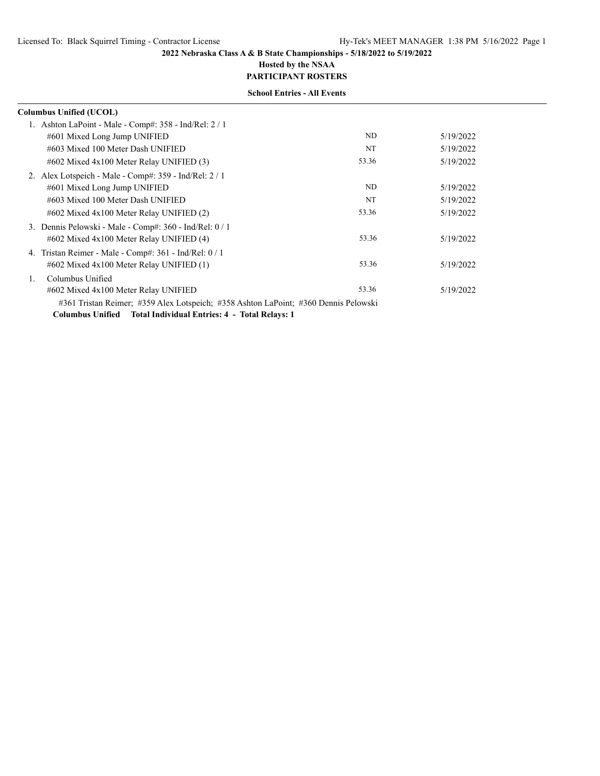## **Hosted by the NSAA PARTICIPANT ROSTERS**

|                | Columbus Unified (UCOL)                                                             |       |           |
|----------------|-------------------------------------------------------------------------------------|-------|-----------|
|                | Ashton LaPoint - Male - Comp#: 358 - Ind/Rel: 2 / 1                                 |       |           |
|                | #601 Mixed Long Jump UNIFIED                                                        | ND    | 5/19/2022 |
|                | #603 Mixed 100 Meter Dash UNIFIED                                                   | NT    | 5/19/2022 |
|                | $\#602$ Mixed $4x100$ Meter Relay UNIFIED (3)                                       | 53.36 | 5/19/2022 |
|                | 2. Alex Lotspeich - Male - Comp#: 359 - Ind/Rel: 2 / 1                              |       |           |
|                | #601 Mixed Long Jump UNIFIED                                                        | ND    | 5/19/2022 |
|                | #603 Mixed 100 Meter Dash UNIFIED                                                   | NT    | 5/19/2022 |
|                | $\#602$ Mixed $4x100$ Meter Relay UNIFIED (2)                                       | 53.36 | 5/19/2022 |
|                | 3. Dennis Pelowski - Male - Comp#: 360 - Ind/Rel: 0 / 1                             |       |           |
|                | $\#602$ Mixed $4x100$ Meter Relay UNIFIED (4)                                       | 53.36 | 5/19/2022 |
|                | 4. Tristan Reimer - Male - Comp#: $361$ - Ind/Rel: $0/1$                            |       |           |
|                | $\#602$ Mixed $4x100$ Meter Relay UNIFIED (1)                                       | 53.36 | 5/19/2022 |
| $\mathbf{1}$ . | Columbus Unified                                                                    |       |           |
|                | #602 Mixed 4x100 Meter Relay UNIFIED                                                | 53.36 | 5/19/2022 |
|                | #361 Tristan Reimer; #359 Alex Lotspeich; #358 Ashton LaPoint; #360 Dennis Pelowski |       |           |
|                | Columbus Unified Total Individual Entries: 4 - Total Relays: 1                      |       |           |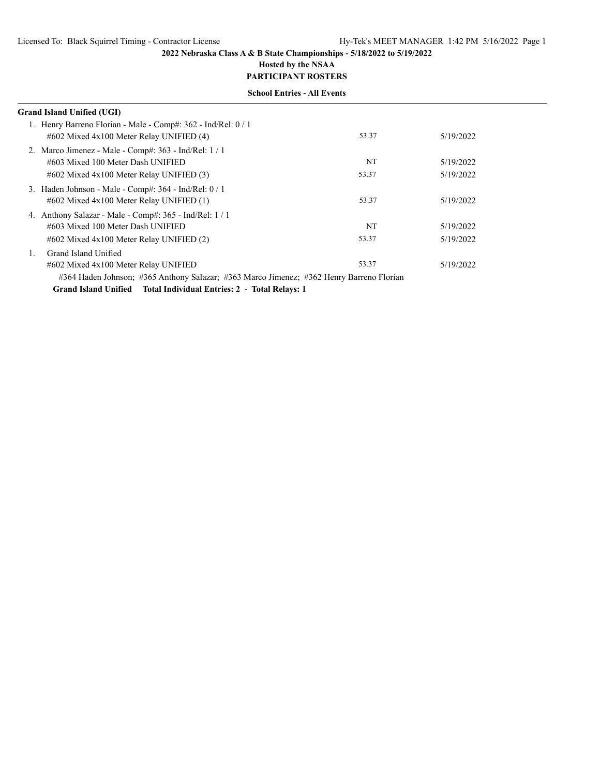# **Hosted by the NSAA**

**PARTICIPANT ROSTERS School Entries - All Events**

|    | Grand Island Unified (UGI)                                                                                                                                     |       |           |  |
|----|----------------------------------------------------------------------------------------------------------------------------------------------------------------|-------|-----------|--|
|    | 1. Henry Barreno Florian - Male - Comp#: 362 - Ind/Rel: 0 / 1<br>$\#602$ Mixed $4x100$ Meter Relay UNIFIED (4)                                                 | 53.37 | 5/19/2022 |  |
|    | 2. Marco Jimenez - Male - Comp#: 363 - Ind/Rel: 1 / 1<br>#603 Mixed 100 Meter Dash UNIFIED                                                                     | NT    | 5/19/2022 |  |
|    | $\#602$ Mixed $4x100$ Meter Relay UNIFIED (3)                                                                                                                  | 53.37 | 5/19/2022 |  |
|    | 3. Haden Johnson - Male - Comp#: 364 - Ind/Rel: 0 / 1<br>$\#602$ Mixed $4x100$ Meter Relay UNIFIED (1)                                                         | 53.37 | 5/19/2022 |  |
|    | 4. Anthony Salazar - Male - Comp#: 365 - Ind/Rel: 1 / 1<br>#603 Mixed 100 Meter Dash UNIFIED                                                                   | NT    | 5/19/2022 |  |
| 1. | $\#602$ Mixed $4x100$ Meter Relay UNIFIED (2)<br>Grand Island Unified                                                                                          | 53.37 | 5/19/2022 |  |
|    | #602 Mixed 4x100 Meter Relay UNIFIED                                                                                                                           | 53.37 | 5/19/2022 |  |
|    | #364 Haden Johnson; #365 Anthony Salazar; #363 Marco Jimenez; #362 Henry Barreno Florian<br>Grand Island Unified Total Individual Entries: 2 - Total Relays: 1 |       |           |  |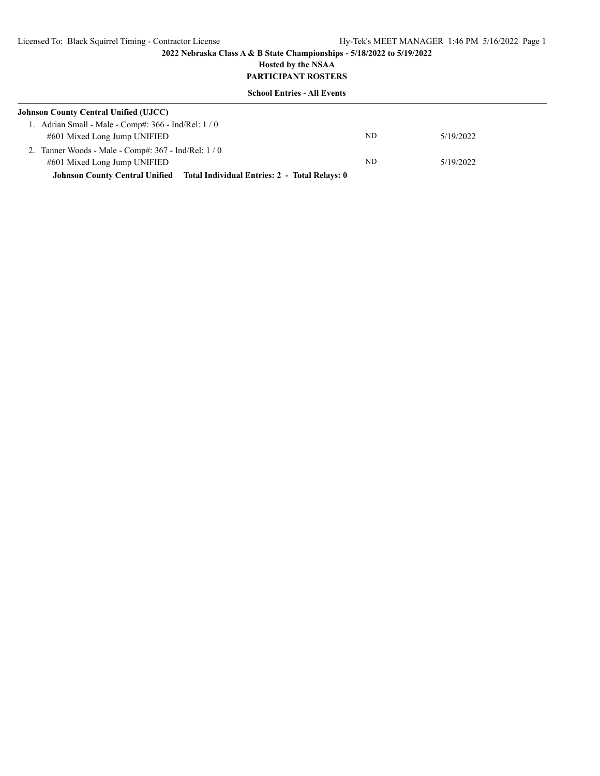## **Hosted by the NSAA PARTICIPANT ROSTERS**

| <b>Johnson County Central Unified (UJCC)</b>                                        |    |           |  |  |
|-------------------------------------------------------------------------------------|----|-----------|--|--|
| 1. Adrian Small - Male - Comp#: $366$ - Ind/Rel: $1/0$                              |    |           |  |  |
| #601 Mixed Long Jump UNIFIED                                                        | ND | 5/19/2022 |  |  |
| 2. Tanner Woods - Male - Comp#: $367$ - Ind/Rel: $1/0$                              |    |           |  |  |
| #601 Mixed Long Jump UNIFIED                                                        | ND | 5/19/2022 |  |  |
| <b>Johnson County Central Unified Total Individual Entries: 2 - Total Relays: 0</b> |    |           |  |  |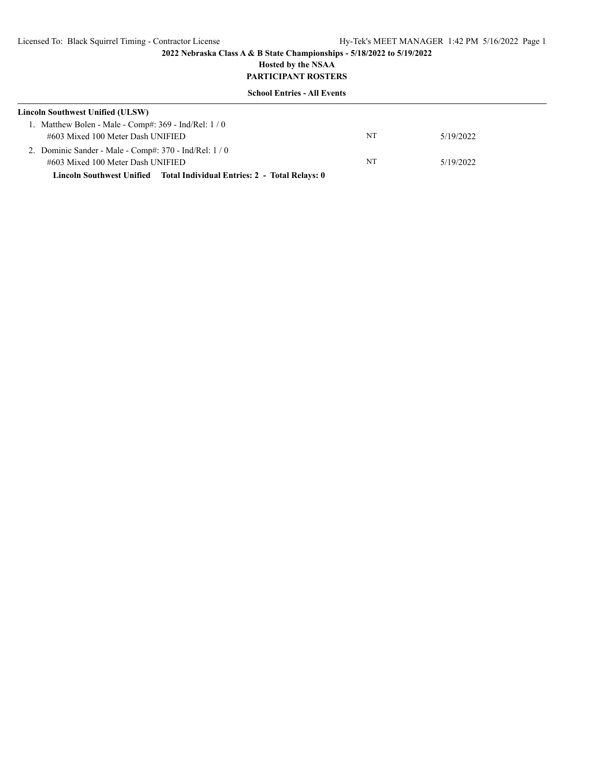## **Hosted by the NSAA PARTICIPANT ROSTERS**

| Lincoln Southwest Unified (ULSW)                         |    |           |  |  |
|----------------------------------------------------------|----|-----------|--|--|
| 1. Matthew Bolen - Male - Comp#: $369$ - Ind/Rel: $1/0$  |    |           |  |  |
| #603 Mixed 100 Meter Dash UNIFIED                        | NT | 5/19/2022 |  |  |
| 2. Dominic Sander - Male - Comp#: $370$ - Ind/Rel: $1/0$ |    |           |  |  |
| #603 Mixed 100 Meter Dash UNIFIED                        | NT | 5/19/2022 |  |  |
|                                                          |    |           |  |  |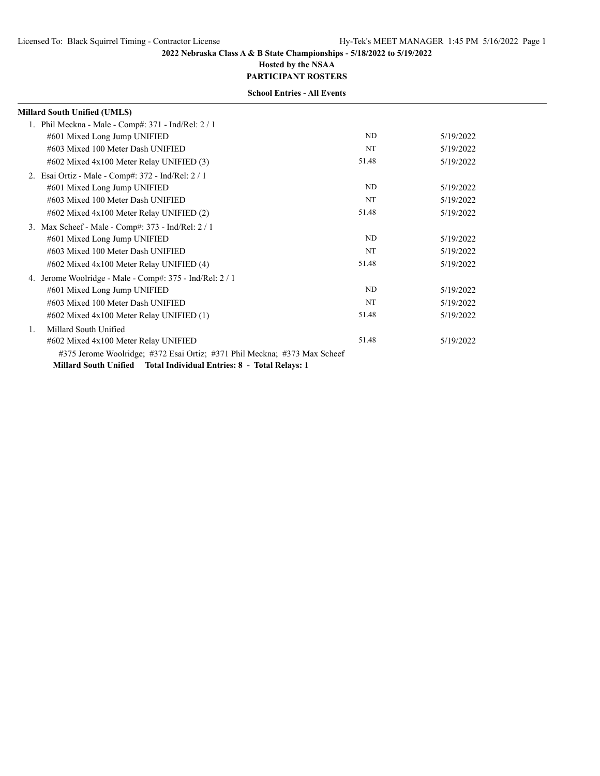## **Hosted by the NSAA PARTICIPANT ROSTERS**

|    | <b>Millard South Unified (UMLS)</b>                                       |       |           |
|----|---------------------------------------------------------------------------|-------|-----------|
|    | 1. Phil Meckna - Male - Comp#: $371$ - Ind/Rel: $2/1$                     |       |           |
|    | #601 Mixed Long Jump UNIFIED                                              | ND    | 5/19/2022 |
|    | #603 Mixed 100 Meter Dash UNIFIED                                         | NT    | 5/19/2022 |
|    | $\#602$ Mixed $4x100$ Meter Relay UNIFIED (3)                             | 51.48 | 5/19/2022 |
|    | 2. Esai Ortiz - Male - Comp#: 372 - Ind/Rel: 2/1                          |       |           |
|    | #601 Mixed Long Jump UNIFIED                                              | ND.   | 5/19/2022 |
|    | #603 Mixed 100 Meter Dash UNIFIED                                         | NT    | 5/19/2022 |
|    | $\#602$ Mixed $4x100$ Meter Relay UNIFIED (2)                             | 51.48 | 5/19/2022 |
| 3. | Max Scheef - Male - Comp#: 373 - Ind/Rel: 2 / 1                           |       |           |
|    | #601 Mixed Long Jump UNIFIED                                              | ND.   | 5/19/2022 |
|    | #603 Mixed 100 Meter Dash UNIFIED                                         | NT    | 5/19/2022 |
|    | $\#602$ Mixed $4x100$ Meter Relay UNIFIED (4)                             | 51.48 | 5/19/2022 |
|    | 4. Jerome Woolridge - Male - Comp#: 375 - Ind/Rel: 2 / 1                  |       |           |
|    | #601 Mixed Long Jump UNIFIED                                              | ND.   | 5/19/2022 |
|    | #603 Mixed 100 Meter Dash UNIFIED                                         | NT    | 5/19/2022 |
|    | $\#602$ Mixed $4x100$ Meter Relay UNIFIED (1)                             | 51.48 | 5/19/2022 |
| 1. | Millard South Unified                                                     |       |           |
|    | #602 Mixed 4x100 Meter Relay UNIFIED                                      | 51.48 | 5/19/2022 |
|    | #375 Jerome Woolridge; #372 Esai Ortiz; #371 Phil Meckna; #373 Max Scheef |       |           |
|    | Millard South Unified Total Individual Entries: 8 - Total Relays: 1       |       |           |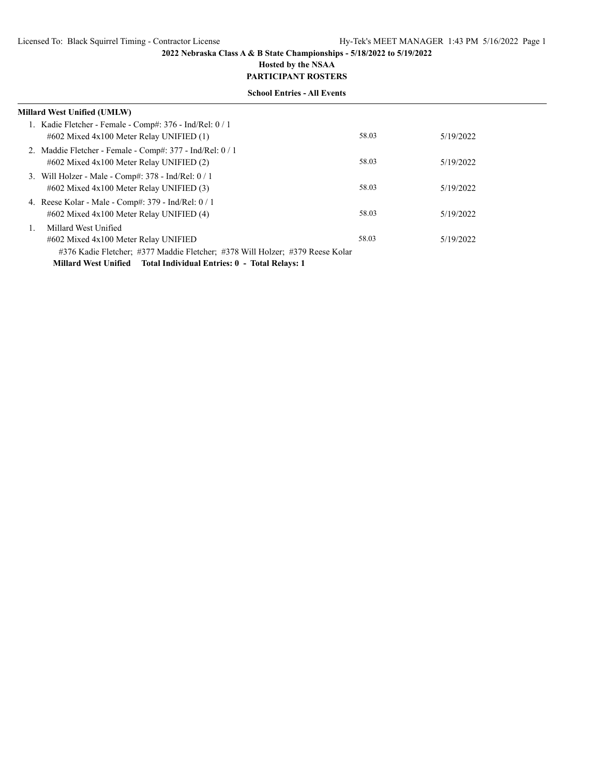## **Hosted by the NSAA PARTICIPANT ROSTERS**

| Millard West Unified (UMLW)                                                   |       |           |  |
|-------------------------------------------------------------------------------|-------|-----------|--|
| 1. Kadie Fletcher - Female - Comp#: 376 - Ind/Rel: 0 / 1                      |       |           |  |
| $\#602$ Mixed $4x100$ Meter Relay UNIFIED (1)                                 | 58.03 | 5/19/2022 |  |
| 2. Maddie Fletcher - Female - Comp#: 377 - Ind/Rel: 0 / 1                     |       |           |  |
| $\#602$ Mixed $4x100$ Meter Relay UNIFIED (2)                                 | 58.03 | 5/19/2022 |  |
| 3. Will Holzer - Male - Comp#: $378$ - Ind/Rel: $0/1$                         |       |           |  |
| $\#602$ Mixed $4x100$ Meter Relay UNIFIED (3)                                 | 58.03 | 5/19/2022 |  |
| 4. Reese Kolar - Male - Comp#: 379 - Ind/Rel: 0 / 1                           |       |           |  |
| #602 Mixed 4x100 Meter Relay UNIFIED (4)                                      | 58.03 | 5/19/2022 |  |
| Millard West Unified                                                          |       |           |  |
| #602 Mixed 4x100 Meter Relay UNIFIED                                          | 58.03 | 5/19/2022 |  |
| #376 Kadie Fletcher; #377 Maddie Fletcher; #378 Will Holzer; #379 Reese Kolar |       |           |  |
| Millard West Unified Total Individual Entries: 0 - Total Relays: 1            |       |           |  |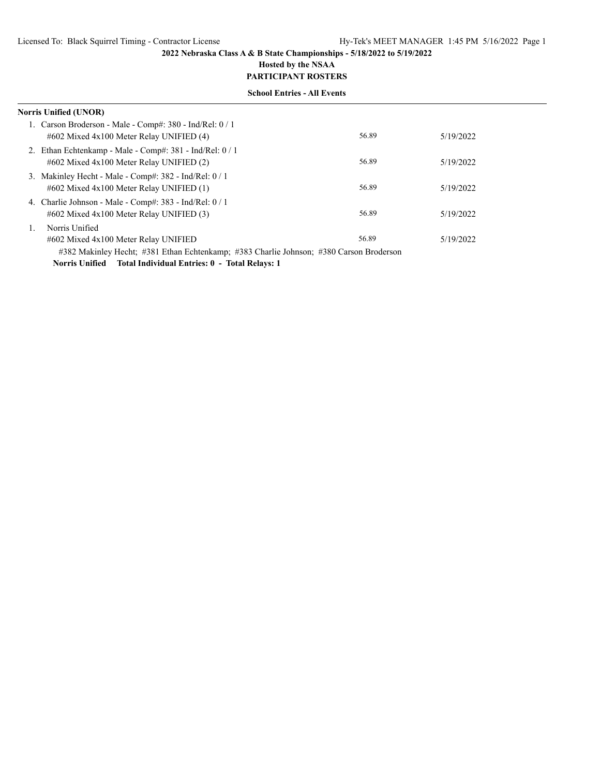# **Hosted by the NSAA**

# **PARTICIPANT ROSTERS School Entries - All Events**

| Norris Unified (UNOR)                                                                                       |       |           |
|-------------------------------------------------------------------------------------------------------------|-------|-----------|
| 1. Carson Broderson - Male - Comp#: $380$ - Ind/Rel: $0/1$<br>$\#602$ Mixed $4x100$ Meter Relay UNIFIED (4) | 56.89 | 5/19/2022 |
| 2. Ethan Echtenkamp - Male - Comp#: 381 - Ind/Rel: 0/1<br>$\#602$ Mixed $4x100$ Meter Relay UNIFIED (2)     | 56.89 | 5/19/2022 |
| 3. Makinley Hecht - Male - Comp#: $382$ - Ind/Rel: $0/1$<br>$\#602$ Mixed $4x100$ Meter Relay UNIFIED (1)   | 56.89 | 5/19/2022 |
| 4. Charlie Johnson - Male - Comp#: $383$ - Ind/Rel: $0/1$<br>$\#602$ Mixed $4x100$ Meter Relay UNIFIED (3)  | 56.89 | 5/19/2022 |
| Norris Unified<br>#602 Mixed 4x100 Meter Relay UNIFIED                                                      | 56.89 | 5/19/2022 |
| #382 Makinley Hecht; #381 Ethan Echtenkamp; #383 Charlie Johnson; #380 Carson Broderson                     |       |           |

**Norris Unified Total Individual Entries: 0 - Total Relays: 1**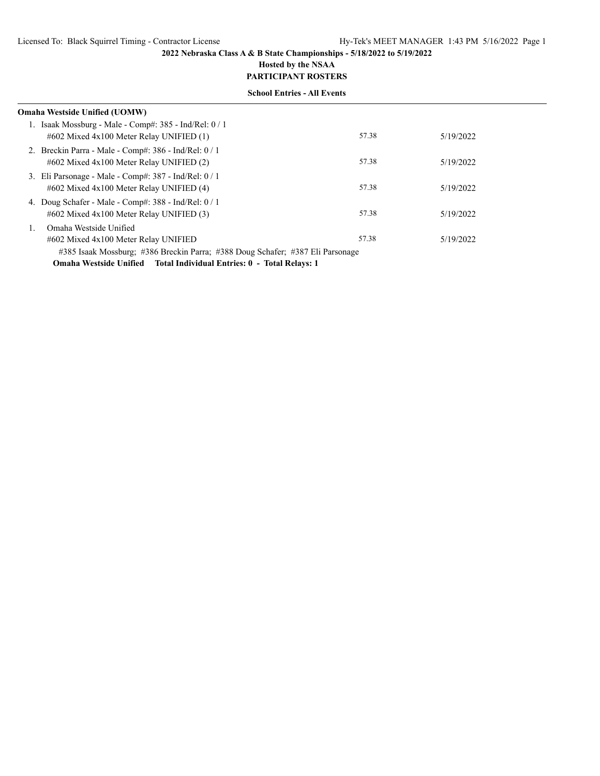# **Hosted by the NSAA**

**PARTICIPANT ROSTERS School Entries - All Events**

| $50.0001$ $E_{\rm H}$ $10.0001$ $E_{\rm H}$ $10.0001$                                                                                                         |       |           |  |
|---------------------------------------------------------------------------------------------------------------------------------------------------------------|-------|-----------|--|
| Omaha Westside Unified (UOMW)                                                                                                                                 |       |           |  |
| 1. Isaak Mossburg - Male - Comp#: 385 - Ind/Rel: 0 / 1<br>$\#602$ Mixed $4x100$ Meter Relay UNIFIED (1)                                                       | 57.38 | 5/19/2022 |  |
| 2. Breckin Parra - Male - Comp#: 386 - Ind/Rel: 0 / 1<br>$\#602$ Mixed $4x100$ Meter Relay UNIFIED (2)                                                        | 57.38 | 5/19/2022 |  |
| 3. Eli Parsonage - Male - Comp#: 387 - Ind/Rel: 0 / 1<br>$\#602$ Mixed $4x100$ Meter Relay UNIFIED (4)                                                        | 57.38 | 5/19/2022 |  |
| 4. Doug Schafer - Male - Comp#: 388 - Ind/Rel: 0 / 1<br>$\#602$ Mixed $4x100$ Meter Relay UNIFIED (3)                                                         | 57.38 | 5/19/2022 |  |
| Omaha Westside Unified<br>#602 Mixed 4x100 Meter Relay UNIFIED                                                                                                | 57.38 | 5/19/2022 |  |
| #385 Isaak Mossburg; #386 Breckin Parra; #388 Doug Schafer; #387 Eli Parsonage<br><b>Omaha Westside Unified</b> Total Individual Entries: 0 - Total Relays: 1 |       |           |  |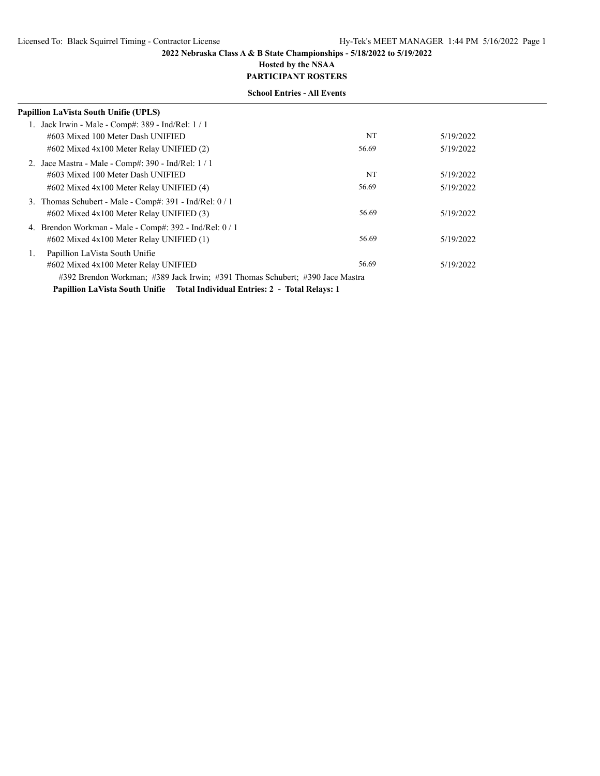# **Hosted by the NSAA**

**PARTICIPANT ROSTERS School Entries - All Events**

| Papillion LaVista South Unifie (UPLS)                                         |       |           |
|-------------------------------------------------------------------------------|-------|-----------|
| 1. Jack Irwin - Male - Comp#: 389 - Ind/Rel: 1 / 1                            |       |           |
| #603 Mixed 100 Meter Dash UNIFIED                                             | NT    | 5/19/2022 |
| $\#602$ Mixed $4x100$ Meter Relay UNIFIED (2)                                 | 56.69 | 5/19/2022 |
| 2. Jace Mastra - Male - Comp#: 390 - Ind/Rel: 1 / 1                           |       |           |
| #603 Mixed 100 Meter Dash UNIFIED                                             | NT    | 5/19/2022 |
| #602 Mixed 4x100 Meter Relay UNIFIED (4)                                      | 56.69 | 5/19/2022 |
| Thomas Schubert - Male - Comp#: 391 - Ind/Rel: 0 / 1<br>3.                    |       |           |
| $\#602$ Mixed $4x100$ Meter Relay UNIFIED (3)                                 | 56.69 | 5/19/2022 |
| 4. Brendon Workman - Male - Comp#: 392 - Ind/Rel: 0 / 1                       |       |           |
| $\#602$ Mixed $4x100$ Meter Relay UNIFIED (1)                                 | 56.69 | 5/19/2022 |
| Papillion LaVista South Unifie<br>1.                                          |       |           |
| #602 Mixed 4x100 Meter Relay UNIFIED                                          | 56.69 | 5/19/2022 |
| #392 Brendon Workman; #389 Jack Irwin; #391 Thomas Schubert; #390 Jace Mastra |       |           |
| Papillion LaVista South Unifie Total Individual Entries: 2 - Total Relays: 1  |       |           |